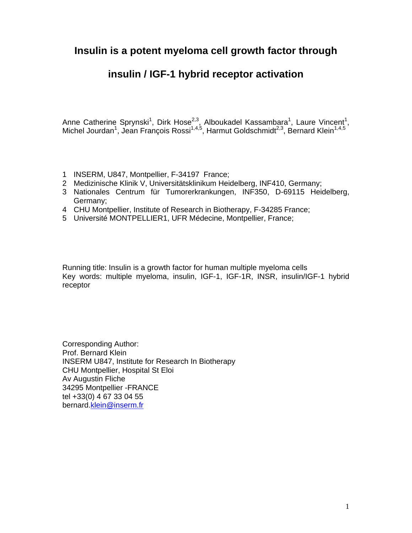### **Insulin is a potent myeloma cell growth factor through**

### **insulin / IGF-1 hybrid receptor activation**

Anne Catherine Sprynski<sup>1</sup>, Dirk Hose<sup>2,3</sup>, Alboukadel Kassambara<sup>1</sup>, Laure Vincent<sup>1</sup>, Michel Jourdan<sup>1</sup>, Jean François Rossi<sup>1,4,5</sup>, Harmut Goldschmidt<sup>2,3</sup>, Bernard Klein<sup>1,4,5</sup>

- 1 INSERM, U847, Montpellier, F-34197 France;
- 2 Medizinische Klinik V, Universitätsklinikum Heidelberg, INF410, Germany;
- 3 Nationales Centrum für Tumorerkrankungen, INF350, D-69115 Heidelberg, Germany;
- 4 CHU Montpellier, Institute of Research in Biotherapy, F-34285 France;
- 5 Université MONTPELLIER1, UFR Médecine, Montpellier, France;

Running title: Insulin is a growth factor for human multiple myeloma cells Key words: multiple myeloma, insulin, IGF-1, IGF-1R, INSR, insulin/IGF-1 hybrid receptor

Corresponding Author: Prof. Bernard Klein INSERM U847, Institute for Research In Biotherapy CHU Montpellier, Hospital St Eloi Av Augustin Fliche 34295 Montpellier -FRANCE tel +33(0) 4 67 33 04 55 bernard.klein@inserm.fr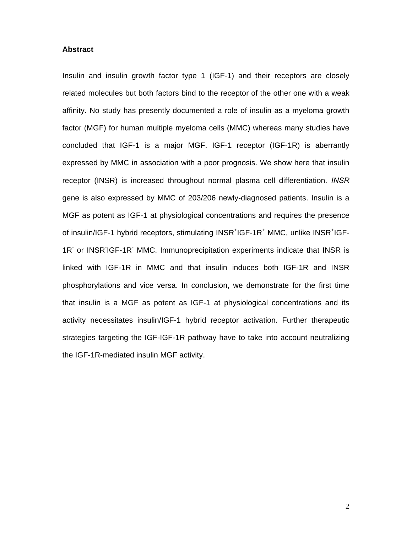#### **Abstract**

Insulin and insulin growth factor type 1 (IGF-1) and their receptors are closely related molecules but both factors bind to the receptor of the other one with a weak affinity. No study has presently documented a role of insulin as a myeloma growth factor (MGF) for human multiple myeloma cells (MMC) whereas many studies have concluded that IGF-1 is a major MGF. IGF-1 receptor (IGF-1R) is aberrantly expressed by MMC in association with a poor prognosis. We show here that insulin receptor (INSR) is increased throughout normal plasma cell differentiation. *INSR* gene is also expressed by MMC of 203/206 newly-diagnosed patients. Insulin is a MGF as potent as IGF-1 at physiological concentrations and requires the presence of insulin/IGF-1 hybrid receptors, stimulating INSR<sup>+</sup>IGF-1R<sup>+</sup> MMC, unlike INSR<sup>+</sup>IGF-1R<sup>-</sup> or INSR<sup>-</sup>IGF-1R<sup>-</sup> MMC. Immunoprecipitation experiments indicate that INSR is linked with IGF-1R in MMC and that insulin induces both IGF-1R and INSR phosphorylations and vice versa. In conclusion, we demonstrate for the first time that insulin is a MGF as potent as IGF-1 at physiological concentrations and its activity necessitates insulin/IGF-1 hybrid receptor activation. Further therapeutic strategies targeting the IGF-IGF-1R pathway have to take into account neutralizing the IGF-1R-mediated insulin MGF activity.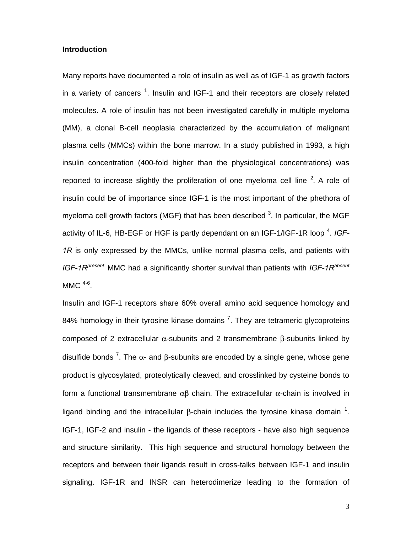#### **Introduction**

Many reports have documented a role of insulin as well as of IGF-1 as growth factors in a variety of cancers  $^1$ . Insulin and IGF-1 and their receptors are closely related molecules. A role of insulin has not been investigated carefully in multiple myeloma (MM), a clonal B-cell neoplasia characterized by the accumulation of malignant plasma cells (MMCs) within the bone marrow. In a study published in 1993, a high insulin concentration (400-fold higher than the physiological concentrations) was reported to increase slightly the proliferation of one myeloma cell line  $2$ . A role of insulin could be of importance since IGF-1 is the most important of the phethora of myeloma cell growth factors (MGF) that has been described  $^3$ . In particular, the MGF activity of IL-6, HB-EGF or HGF is partly dependant on an IGF-1/IGF-1R loop <sup>4</sup>. IGF-*1R* is only expressed by the MMCs, unlike normal plasma cells, and patients with *IGF-1Rpresent* MMC had a significantly shorter survival than patients with *IGF-1Rabsent* MMC  $4-6$ .

Insulin and IGF-1 receptors share 60% overall amino acid sequence homology and 84% homology in their tyrosine kinase domains  $^7$ . They are tetrameric glycoproteins composed of 2 extracellular α-subunits and 2 transmembrane β-subunits linked by disulfide bonds <sup>7</sup>. The  $\alpha$ - and β-subunits are encoded by a single gene, whose gene product is glycosylated, proteolytically cleaved, and crosslinked by cysteine bonds to form a functional transmembrane αβ chain. The extracellular α-chain is involved in ligand binding and the intracellular β-chain includes the tyrosine kinase domain  $1$ . IGF-1, IGF-2 and insulin - the ligands of these receptors - have also high sequence and structure similarity. This high sequence and structural homology between the receptors and between their ligands result in cross-talks between IGF-1 and insulin signaling. IGF-1R and INSR can heterodimerize leading to the formation of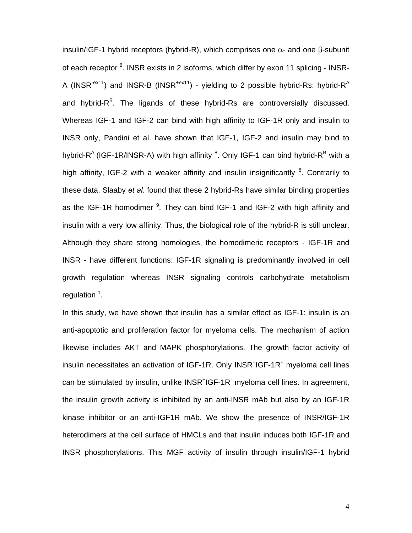insulin/IGF-1 hybrid receptors (hybrid-R), which comprises one  $\alpha$ - and one β-subunit of each receptor <sup>8</sup>. INSR exists in 2 isoforms, which differ by exon 11 splicing - INSR-A (INSR<sup>-ex11</sup>) and INSR-B (INSR<sup>+ex11</sup>) - yielding to 2 possible hybrid-Rs: hybrid-R<sup>A</sup> and hybrid-R<sup>B</sup>. The ligands of these hybrid-Rs are controversially discussed. Whereas IGF-1 and IGF-2 can bind with high affinity to IGF-1R only and insulin to INSR only, Pandini et al. have shown that IGF-1, IGF-2 and insulin may bind to hybrid-R<sup>A</sup> (IGF-1R/INSR-A) with high affinity <sup>8</sup>. Only IGF-1 can bind hybrid-R<sup>B</sup> with a high affinity, IGF-2 with a weaker affinity and insulin insignificantly <sup>8</sup>. Contrarily to these data, Slaaby *et al*. found that these 2 hybrid-Rs have similar binding properties as the IGF-1R homodimer <sup>9</sup>. They can bind IGF-1 and IGF-2 with high affinity and insulin with a very low affinity. Thus, the biological role of the hybrid-R is still unclear. Although they share strong homologies, the homodimeric receptors - IGF-1R and INSR - have different functions: IGF-1R signaling is predominantly involved in cell growth regulation whereas INSR signaling controls carbohydrate metabolism regulation<sup>1</sup>.

In this study, we have shown that insulin has a similar effect as IGF-1: insulin is an anti-apoptotic and proliferation factor for myeloma cells. The mechanism of action likewise includes AKT and MAPK phosphorylations. The growth factor activity of insulin necessitates an activation of IGF-1R. Only INSR<sup>+</sup>IGF-1R<sup>+</sup> myeloma cell lines can be stimulated by insulin, unlike INSR<sup>+</sup>IGF-1R<sup>-</sup> myeloma cell lines. In agreement, the insulin growth activity is inhibited by an anti-INSR mAb but also by an IGF-1R kinase inhibitor or an anti-IGF1R mAb. We show the presence of INSR/IGF-1R heterodimers at the cell surface of HMCLs and that insulin induces both IGF-1R and INSR phosphorylations. This MGF activity of insulin through insulin/IGF-1 hybrid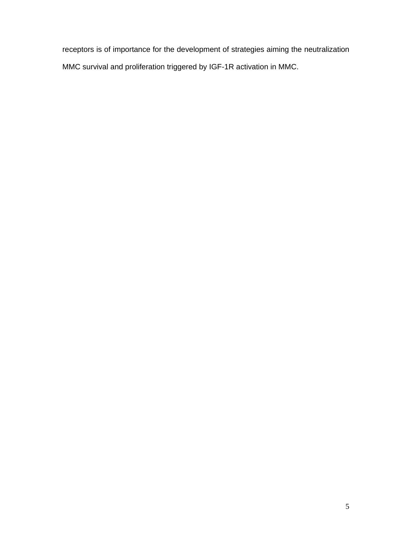receptors is of importance for the development of strategies aiming the neutralization MMC survival and proliferation triggered by IGF-1R activation in MMC.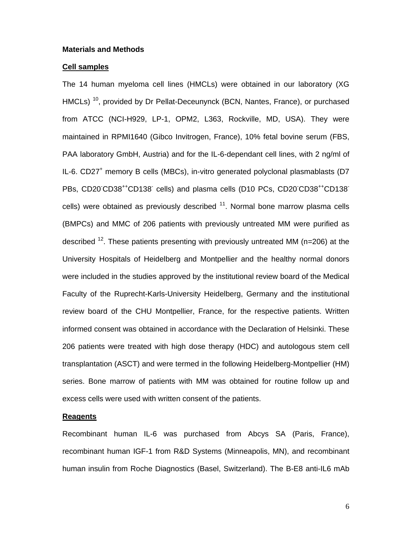#### **Materials and Methods**

#### **Cell samples**

The 14 human myeloma cell lines (HMCLs) were obtained in our laboratory (XG HMCLs)<sup>10</sup>, provided by Dr Pellat-Deceunynck (BCN, Nantes, France), or purchased from ATCC (NCI-H929, LP-1, OPM2, L363, Rockville, MD, USA). They were maintained in RPMI1640 (Gibco Invitrogen, France), 10% fetal bovine serum (FBS, PAA laboratory GmbH, Austria) and for the IL-6-dependant cell lines, with 2 ng/ml of IL-6. CD27<sup>+</sup> memory B cells (MBCs), in-vitro generated polyclonal plasmablasts (D7 PBs, CD20 CD38<sup>++</sup>CD138 cells) and plasma cells (D10 PCs, CD20 CD38<sup>++</sup>CD138 cells) were obtained as previously described  $11$ . Normal bone marrow plasma cells (BMPCs) and MMC of 206 patients with previously untreated MM were purified as described  $^{12}$ . These patients presenting with previously untreated MM (n=206) at the University Hospitals of Heidelberg and Montpellier and the healthy normal donors were included in the studies approved by the institutional review board of the Medical Faculty of the Ruprecht-Karls-University Heidelberg, Germany and the institutional review board of the CHU Montpellier, France, for the respective patients. Written informed consent was obtained in accordance with the Declaration of Helsinki. These 206 patients were treated with high dose therapy (HDC) and autologous stem cell transplantation (ASCT) and were termed in the following Heidelberg-Montpellier (HM) series. Bone marrow of patients with MM was obtained for routine follow up and excess cells were used with written consent of the patients.

#### **Reagents**

Recombinant human IL-6 was purchased from Abcys SA (Paris, France), recombinant human IGF-1 from R&D Systems (Minneapolis, MN), and recombinant human insulin from Roche Diagnostics (Basel, Switzerland). The B-E8 anti-IL6 mAb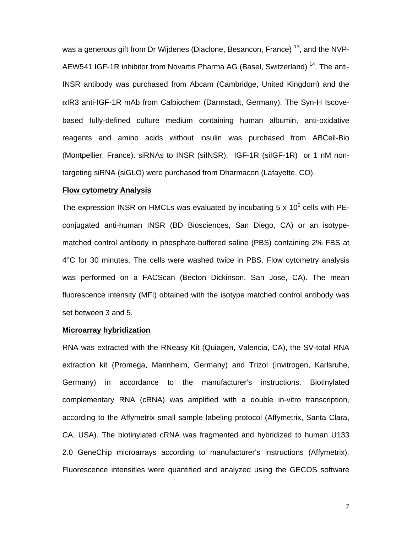was a generous gift from Dr Wijdenes (Diaclone, Besancon, France)<sup>13</sup>, and the NVP-AEW541 IGF-1R inhibitor from Novartis Pharma AG (Basel, Switzerland)<sup>14</sup>. The anti-INSR antibody was purchased from Abcam (Cambridge, United Kingdom) and the αIR3 anti-IGF-1R mAb from Calbiochem (Darmstadt, Germany). The Syn-H Iscovebased fully-defined culture medium containing human albumin, anti-oxidative reagents and amino acids without insulin was purchased from ABCell-Bio (Montpellier, France). siRNAs to INSR (siINSR), IGF-1R (siIGF-1R) or 1 nM nontargeting siRNA (siGLO) were purchased from Dharmacon (Lafayette, CO).

#### **Flow cytometry Analysis**

The expression INSR on HMCLs was evaluated by incubating 5 x 10<sup>5</sup> cells with PEconjugated anti-human INSR (BD Biosciences, San Diego, CA) or an isotypematched control antibody in phosphate-buffered saline (PBS) containing 2% FBS at 4°C for 30 minutes. The cells were washed twice in PBS. Flow cytometry analysis was performed on a FACScan (Becton Dickinson, San Jose, CA). The mean fluorescence intensity (MFI) obtained with the isotype matched control antibody was set between 3 and 5.

#### **Microarray hybridization**

RNA was extracted with the RNeasy Kit (Quiagen, Valencia, CA), the SV-total RNA extraction kit (Promega, Mannheim, Germany) and Trizol (Invitrogen, Karlsruhe, Germany) in accordance to the manufacturer's instructions. Biotinylated complementary RNA (cRNA) was amplified with a double in-vitro transcription, according to the Affymetrix small sample labeling protocol (Affymetrix, Santa Clara, CA, USA). The biotinylated cRNA was fragmented and hybridized to human U133 2.0 GeneChip microarrays according to manufacturer's instructions (Affymetrix). Fluorescence intensities were quantified and analyzed using the GECOS software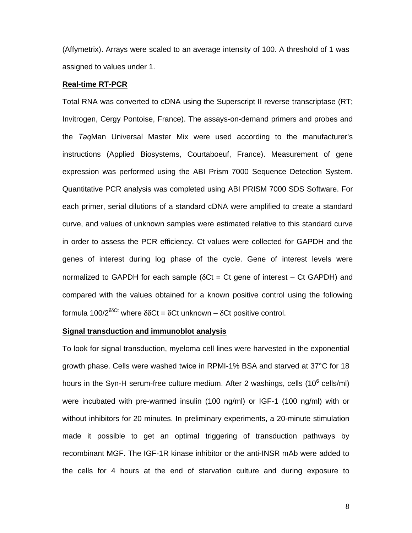(Affymetrix). Arrays were scaled to an average intensity of 100. A threshold of 1 was assigned to values under 1.

#### **Real-time RT-PCR**

Total RNA was converted to cDNA using the Superscript II reverse transcriptase (RT; Invitrogen, Cergy Pontoise, France). The assays-on-demand primers and probes and the *Taq*Man Universal Master Mix were used according to the manufacturer's instructions (Applied Biosystems, Courtaboeuf, France). Measurement of gene expression was performed using the ABI Prism 7000 Sequence Detection System. Quantitative PCR analysis was completed using ABI PRISM 7000 SDS Software. For each primer, serial dilutions of a standard cDNA were amplified to create a standard curve, and values of unknown samples were estimated relative to this standard curve in order to assess the PCR efficiency. Ct values were collected for GAPDH and the genes of interest during log phase of the cycle. Gene of interest levels were normalized to GAPDH for each sample ( $\delta$ Ct = Ct gene of interest – Ct GAPDH) and compared with the values obtained for a known positive control using the following formula 100/ $2^{δCCt}$  where  $δδCt = δCt$  unknown –  $δCt$  positive control.

#### **Signal transduction and immunoblot analysis**

To look for signal transduction, myeloma cell lines were harvested in the exponential growth phase. Cells were washed twice in RPMI-1% BSA and starved at 37°C for 18 hours in the Syn-H serum-free culture medium. After 2 washings, cells (10<sup>6</sup> cells/ml) were incubated with pre-warmed insulin (100 ng/ml) or IGF-1 (100 ng/ml) with or without inhibitors for 20 minutes. In preliminary experiments, a 20-minute stimulation made it possible to get an optimal triggering of transduction pathways by recombinant MGF. The IGF-1R kinase inhibitor or the anti-INSR mAb were added to the cells for 4 hours at the end of starvation culture and during exposure to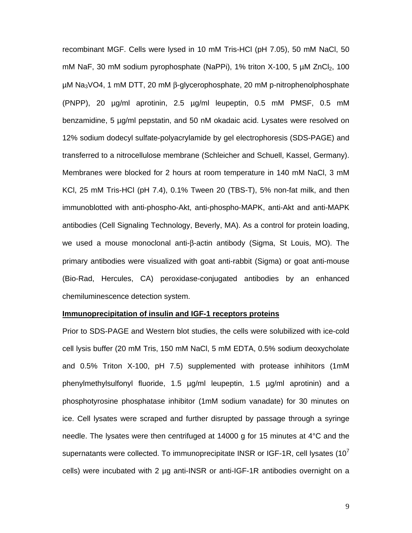recombinant MGF. Cells were lysed in 10 mM Tris-HCl (pH 7.05), 50 mM NaCl, 50 mM NaF, 30 mM sodium pyrophosphate (NaPPi), 1% triton X-100, 5  $\mu$ M ZnCl<sub>2</sub>, 100 µM Na3VO4, 1 mM DTT, 20 mM β-glycerophosphate, 20 mM p-nitrophenolphosphate (PNPP), 20 µg/ml aprotinin, 2.5 µg/ml leupeptin, 0.5 mM PMSF, 0.5 mM benzamidine, 5 µg/ml pepstatin, and 50 nM okadaic acid. Lysates were resolved on 12% sodium dodecyl sulfate-polyacrylamide by gel electrophoresis (SDS-PAGE) and transferred to a nitrocellulose membrane (Schleicher and Schuell, Kassel, Germany). Membranes were blocked for 2 hours at room temperature in 140 mM NaCl, 3 mM KCl, 25 mM Tris-HCl (pH 7.4), 0.1% Tween 20 (TBS-T), 5% non-fat milk, and then immunoblotted with anti-phospho-Akt, anti-phospho-MAPK, anti-Akt and anti-MAPK antibodies (Cell Signaling Technology, Beverly, MA). As a control for protein loading, we used a mouse monoclonal anti-β-actin antibody (Sigma, St Louis, MO). The primary antibodies were visualized with goat anti-rabbit (Sigma) or goat anti-mouse (Bio-Rad, Hercules, CA) peroxidase-conjugated antibodies by an enhanced chemiluminescence detection system.

#### **Immunoprecipitation of insulin and IGF-1 receptors proteins**

Prior to SDS-PAGE and Western blot studies, the cells were solubilized with ice-cold cell lysis buffer (20 mM Tris, 150 mM NaCl, 5 mM EDTA, 0.5% sodium deoxycholate and 0.5% Triton X-100, pH 7.5) supplemented with protease inhihitors (1mM phenylmethylsulfonyl fluoride, 1.5 µg/ml leupeptin, 1.5 µg/ml aprotinin) and a phosphotyrosine phosphatase inhibitor (1mM sodium vanadate) for 30 minutes on ice. Cell lysates were scraped and further disrupted by passage through a syringe needle. The lysates were then centrifuged at 14000 g for 15 minutes at 4°C and the supernatants were collected. To immunoprecipitate INSR or IGF-1R, cell lysates (10<sup> $\prime$ </sup>) cells) were incubated with 2 µg anti-INSR or anti-IGF-1R antibodies overnight on a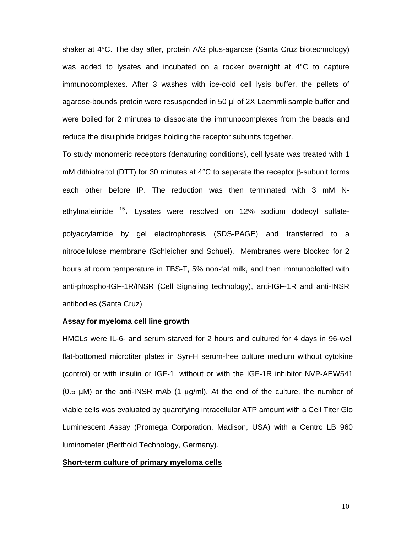shaker at 4°C. The day after, protein A/G plus-agarose (Santa Cruz biotechnology) was added to lysates and incubated on a rocker overnight at 4°C to capture immunocomplexes. After 3 washes with ice-cold cell lysis buffer, the pellets of agarose-bounds protein were resuspended in 50 µl of 2X Laemmli sample buffer and were boiled for 2 minutes to dissociate the immunocomplexes from the beads and reduce the disulphide bridges holding the receptor subunits together.

To study monomeric receptors (denaturing conditions), cell lysate was treated with 1 mM dithiotreitol (DTT) for 30 minutes at 4°C to separate the receptor β-subunit forms each other before IP. The reduction was then terminated with 3 mM Nethylmaleimide <sup>15</sup>. Lysates were resolved on 12% sodium dodecyl sulfatepolyacrylamide by gel electrophoresis (SDS-PAGE) and transferred to a nitrocellulose membrane (Schleicher and Schuel). Membranes were blocked for 2 hours at room temperature in TBS-T, 5% non-fat milk, and then immunoblotted with anti-phospho-IGF-1R/INSR (Cell Signaling technology), anti-IGF-1R and anti-INSR antibodies (Santa Cruz).

#### **Assay for myeloma cell line growth**

HMCLs were IL-6- and serum-starved for 2 hours and cultured for 4 days in 96-well flat-bottomed microtiter plates in Syn-H serum-free culture medium without cytokine (control) or with insulin or IGF-1, without or with the IGF-1R inhibitor NVP-AEW541 (0.5  $\mu$ M) or the anti-INSR mAb (1  $\mu$ g/ml). At the end of the culture, the number of viable cells was evaluated by quantifying intracellular ATP amount with a Cell Titer Glo Luminescent Assay (Promega Corporation, Madison, USA) with a Centro LB 960 luminometer (Berthold Technology, Germany).

#### **Short-term culture of primary myeloma cells**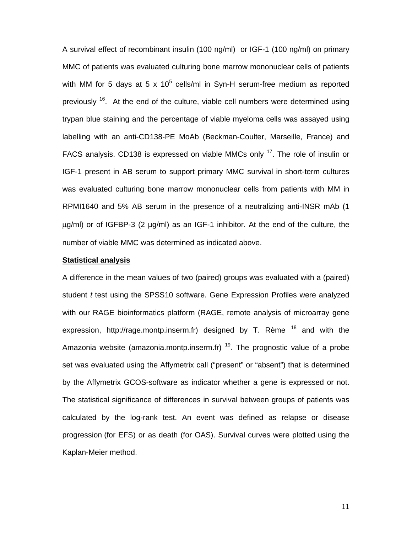A survival effect of recombinant insulin (100 ng/ml) or IGF-1 (100 ng/ml) on primary MMC of patients was evaluated culturing bone marrow mononuclear cells of patients with MM for 5 days at 5 x 10<sup>5</sup> cells/ml in Syn-H serum-free medium as reported previously  $16$ . At the end of the culture, viable cell numbers were determined using trypan blue staining and the percentage of viable myeloma cells was assayed using labelling with an anti-CD138-PE MoAb (Beckman-Coulter, Marseille, France) and FACS analysis. CD138 is expressed on viable MMCs only <sup>17</sup>. The role of insulin or IGF-1 present in AB serum to support primary MMC survival in short-term cultures was evaluated culturing bone marrow mononuclear cells from patients with MM in RPMI1640 and 5% AB serum in the presence of a neutralizing anti-INSR mAb (1 μg/ml) or of IGFBP-3 (2 µg/ml) as an IGF-1 inhibitor. At the end of the culture, the number of viable MMC was determined as indicated above.

#### **Statistical analysis**

A difference in the mean values of two (paired) groups was evaluated with a (paired) student *t* test using the SPSS10 software. Gene Expression Profiles were analyzed with our RAGE bioinformatics platform (RAGE, remote analysis of microarray gene expression, http://rage.montp.inserm.fr) designed by T. Rème  $18$  and with the Amazonia website (amazonia.montp.inserm.fr) <sup>19</sup>**.** The prognostic value of a probe set was evaluated using the Affymetrix call ("present" or "absent") that is determined by the Affymetrix GCOS-software as indicator whether a gene is expressed or not. The statistical significance of differences in survival between groups of patients was calculated by the log-rank test. An event was defined as relapse or disease progression (for EFS) or as death (for OAS). Survival curves were plotted using the Kaplan-Meier method.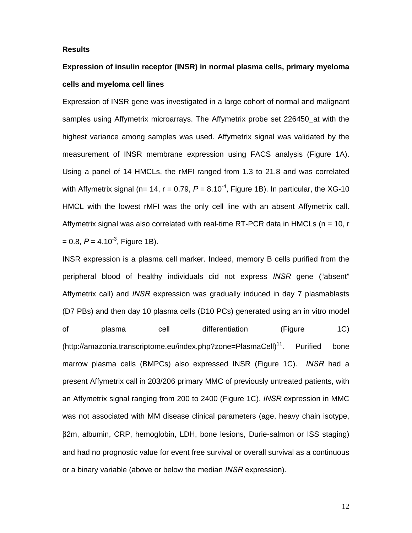#### **Results**

### **Expression of insulin receptor (INSR) in normal plasma cells, primary myeloma cells and myeloma cell lines**

Expression of INSR gene was investigated in a large cohort of normal and malignant samples using Affymetrix microarrays. The Affymetrix probe set 226450\_at with the highest variance among samples was used. Affymetrix signal was validated by the measurement of INSR membrane expression using FACS analysis (Figure 1A). Using a panel of 14 HMCLs, the rMFI ranged from 1.3 to 21.8 and was correlated with Affymetrix signal (n= 14, r = 0.79,  $P = 8.10^{-4}$ , Figure 1B). In particular, the XG-10 HMCL with the lowest rMFI was the only cell line with an absent Affymetrix call. Affymetrix signal was also correlated with real-time RT-PCR data in HMCLs ( $n = 10$ , r  $= 0.8, P = 4.10^{-3}$ . Figure 1B).

INSR expression is a plasma cell marker. Indeed, memory B cells purified from the peripheral blood of healthy individuals did not express *INSR* gene ("absent" Affymetrix call) and *INSR* expression was gradually induced in day 7 plasmablasts (D7 PBs) and then day 10 plasma cells (D10 PCs) generated using an in vitro model of plasma cell differentiation (Figure 1C) (http://amazonia.transcriptome.eu/index.php?zone=PlasmaCell)<sup>11</sup>. Purified bone marrow plasma cells (BMPCs) also expressed INSR (Figure 1C). *INSR* had a present Affymetrix call in 203/206 primary MMC of previously untreated patients, with an Affymetrix signal ranging from 200 to 2400 (Figure 1C). *INSR* expression in MMC was not associated with MM disease clinical parameters (age, heavy chain isotype, β2m, albumin, CRP, hemoglobin, LDH, bone lesions, Durie-salmon or ISS staging) and had no prognostic value for event free survival or overall survival as a continuous or a binary variable (above or below the median *INSR* expression).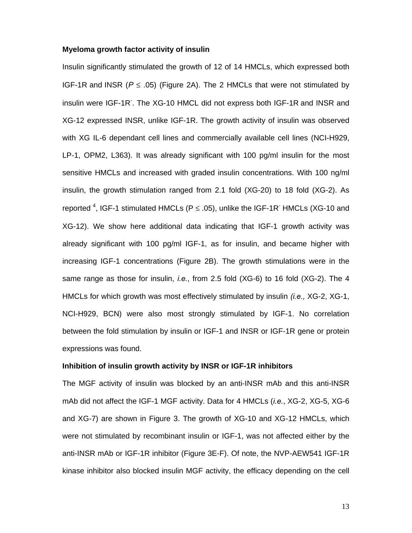#### **Myeloma growth factor activity of insulin**

Insulin significantly stimulated the growth of 12 of 14 HMCLs, which expressed both IGF-1R and INSR ( $P \le .05$ ) (Figure 2A). The 2 HMCLs that were not stimulated by insulin were IGF-1R. The XG-10 HMCL did not express both IGF-1R and INSR and XG-12 expressed INSR, unlike IGF-1R. The growth activity of insulin was observed with XG IL-6 dependant cell lines and commercially available cell lines (NCI-H929, LP-1, OPM2, L363). It was already significant with 100 pg/ml insulin for the most sensitive HMCLs and increased with graded insulin concentrations. With 100 ng/ml insulin, the growth stimulation ranged from 2.1 fold (XG-20) to 18 fold (XG-2). As reported <sup>4</sup>, IGF-1 stimulated HMCLs (P  $\leq$  .05), unlike the IGF-1R<sup>-</sup> HMCLs (XG-10 and XG-12). We show here additional data indicating that IGF-1 growth activity was already significant with 100 pg/ml IGF-1, as for insulin, and became higher with increasing IGF-1 concentrations (Figure 2B). The growth stimulations were in the same range as those for insulin, *i.e.*, from 2.5 fold (XG-6) to 16 fold (XG-2). The 4 HMCLs for which growth was most effectively stimulated by insulin *(i.e.,* XG-2, XG-1, NCI-H929, BCN) were also most strongly stimulated by IGF-1. No correlation between the fold stimulation by insulin or IGF-1 and INSR or IGF-1R gene or protein expressions was found.

#### **Inhibition of insulin growth activity by INSR or IGF-1R inhibitors**

The MGF activity of insulin was blocked by an anti-INSR mAb and this anti-INSR mAb did not affect the IGF-1 MGF activity. Data for 4 HMCLs (*i.e.*, XG-2, XG-5, XG-6 and XG-7) are shown in Figure 3. The growth of XG-10 and XG-12 HMCLs, which were not stimulated by recombinant insulin or IGF-1, was not affected either by the anti-INSR mAb or IGF-1R inhibitor (Figure 3E-F). Of note, the NVP-AEW541 IGF-1R kinase inhibitor also blocked insulin MGF activity, the efficacy depending on the cell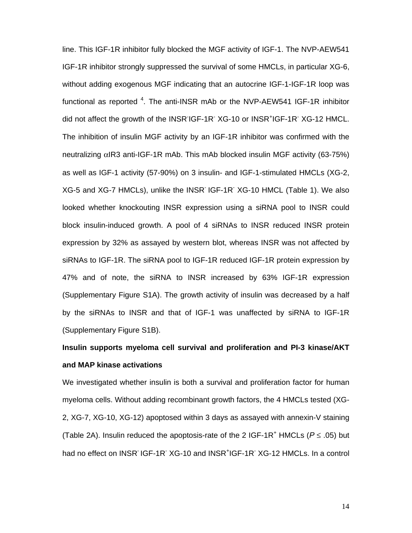line. This IGF-1R inhibitor fully blocked the MGF activity of IGF-1. The NVP-AEW541 IGF-1R inhibitor strongly suppressed the survival of some HMCLs, in particular XG-6, without adding exogenous MGF indicating that an autocrine IGF-1-IGF-1R loop was functional as reported  $4$ . The anti-INSR mAb or the NVP-AEW541 IGF-1R inhibitor did not affect the growth of the INSR IGF-1R XG-10 or INSR<sup>+</sup>IGF-1R XG-12 HMCL. The inhibition of insulin MGF activity by an IGF-1R inhibitor was confirmed with the neutralizing αIR3 anti-IGF-1R mAb. This mAb blocked insulin MGF activity (63-75%) as well as IGF-1 activity (57-90%) on 3 insulin- and IGF-1-stimulated HMCLs (XG-2, XG-5 and XG-7 HMCLs), unlike the INSR<sup>-</sup> IGF-1R<sup>-</sup> XG-10 HMCL (Table 1). We also looked whether knockouting INSR expression using a siRNA pool to INSR could block insulin-induced growth. A pool of 4 siRNAs to INSR reduced INSR protein expression by 32% as assayed by western blot, whereas INSR was not affected by siRNAs to IGF-1R. The siRNA pool to IGF-1R reduced IGF-1R protein expression by 47% and of note, the siRNA to INSR increased by 63% IGF-1R expression (Supplementary Figure S1A). The growth activity of insulin was decreased by a half by the siRNAs to INSR and that of IGF-1 was unaffected by siRNA to IGF-1R (Supplementary Figure S1B).

# **Insulin supports myeloma cell survival and proliferation and PI-3 kinase/AKT and MAP kinase activations**

We investigated whether insulin is both a survival and proliferation factor for human myeloma cells. Without adding recombinant growth factors, the 4 HMCLs tested (XG-2, XG-7, XG-10, XG-12) apoptosed within 3 days as assayed with annexin-V staining (Table 2A). Insulin reduced the apoptosis-rate of the 2 IGF-1R<sup>+</sup> HMCLs ( $P \le .05$ ) but had no effect on INSR<sup>-</sup>IGF-1R<sup>-</sup> XG-10 and INSR<sup>+</sup>IGF-1R<sup>-</sup> XG-12 HMCLs. In a control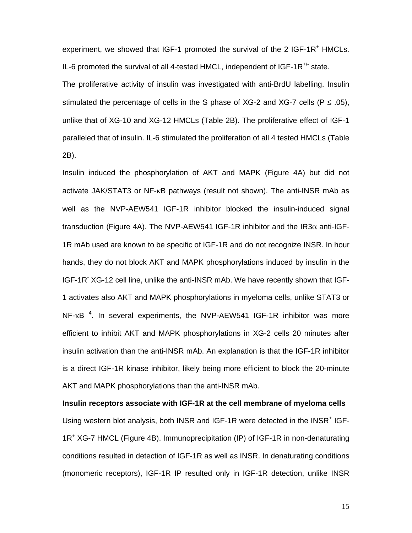experiment, we showed that IGF-1 promoted the survival of the 2 IGF-1R<sup>+</sup> HMCLs. IL-6 promoted the survival of all 4-tested HMCL, independent of  $IGF-1R<sup>+/-</sup>$  state.

The proliferative activity of insulin was investigated with anti-BrdU labelling. Insulin stimulated the percentage of cells in the S phase of XG-2 and XG-7 cells ( $P \le .05$ ), unlike that of XG-10 and XG-12 HMCLs (Table 2B). The proliferative effect of IGF-1 paralleled that of insulin. IL-6 stimulated the proliferation of all 4 tested HMCLs (Table 2B).

Insulin induced the phosphorylation of AKT and MAPK (Figure 4A) but did not activate JAK/STAT3 or NF-κB pathways (result not shown). The anti-INSR mAb as well as the NVP-AEW541 IGF-1R inhibitor blocked the insulin-induced signal transduction (Figure 4A). The NVP-AEW541 IGF-1R inhibitor and the IR3 $\alpha$  anti-IGF-1R mAb used are known to be specific of IGF-1R and do not recognize INSR. In hour hands, they do not block AKT and MAPK phosphorylations induced by insulin in the IGF-1R<sup>-</sup> XG-12 cell line, unlike the anti-INSR mAb. We have recently shown that IGF-1 activates also AKT and MAPK phosphorylations in myeloma cells, unlike STAT3 or  $NF$ - $k$ B<sup>4</sup>. In several experiments, the NVP-AEW541 IGF-1R inhibitor was more efficient to inhibit AKT and MAPK phosphorylations in XG-2 cells 20 minutes after insulin activation than the anti-INSR mAb. An explanation is that the IGF-1R inhibitor is a direct IGF-1R kinase inhibitor, likely being more efficient to block the 20-minute AKT and MAPK phosphorylations than the anti-INSR mAb.

**Insulin receptors associate with IGF-1R at the cell membrane of myeloma cells**  Using western blot analysis, both INSR and IGF-1R were detected in the INSR<sup>+</sup> IGF-1R<sup>+</sup> XG-7 HMCL (Figure 4B). Immunoprecipitation (IP) of IGF-1R in non-denaturating conditions resulted in detection of IGF-1R as well as INSR. In denaturating conditions (monomeric receptors), IGF-1R IP resulted only in IGF-1R detection, unlike INSR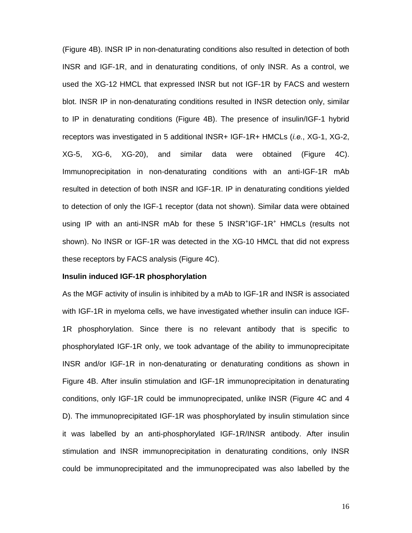(Figure 4B). INSR IP in non-denaturating conditions also resulted in detection of both INSR and IGF-1R, and in denaturating conditions, of only INSR. As a control, we used the XG-12 HMCL that expressed INSR but not IGF-1R by FACS and western blot. INSR IP in non-denaturating conditions resulted in INSR detection only, similar to IP in denaturating conditions (Figure 4B). The presence of insulin/IGF-1 hybrid receptors was investigated in 5 additional INSR+ IGF-1R+ HMCLs (*i.e.*, XG-1, XG-2, XG-5, XG-6, XG-20), and similar data were obtained (Figure 4C). Immunoprecipitation in non-denaturating conditions with an anti-IGF-1R mAb resulted in detection of both INSR and IGF-1R. IP in denaturating conditions yielded to detection of only the IGF-1 receptor (data not shown). Similar data were obtained using IP with an anti-INSR mAb for these 5 INSR<sup>+</sup>IGF-1R<sup>+</sup> HMCLs (results not shown). No INSR or IGF-1R was detected in the XG-10 HMCL that did not express these receptors by FACS analysis (Figure 4C).

#### **Insulin induced IGF-1R phosphorylation**

As the MGF activity of insulin is inhibited by a mAb to IGF-1R and INSR is associated with IGF-1R in myeloma cells, we have investigated whether insulin can induce IGF-1R phosphorylation. Since there is no relevant antibody that is specific to phosphorylated IGF-1R only, we took advantage of the ability to immunoprecipitate INSR and/or IGF-1R in non-denaturating or denaturating conditions as shown in Figure 4B. After insulin stimulation and IGF-1R immunoprecipitation in denaturating conditions, only IGF-1R could be immunoprecipated, unlike INSR (Figure 4C and 4 D). The immunoprecipitated IGF-1R was phosphorylated by insulin stimulation since it was labelled by an anti-phosphorylated IGF-1R/INSR antibody. After insulin stimulation and INSR immunoprecipitation in denaturating conditions, only INSR could be immunoprecipitated and the immunoprecipated was also labelled by the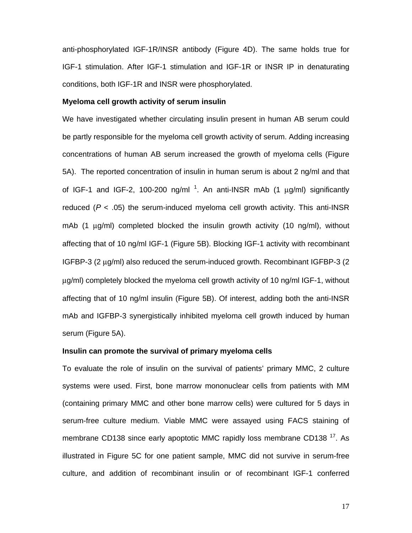anti-phosphorylated IGF-1R/INSR antibody (Figure 4D). The same holds true for IGF-1 stimulation. After IGF-1 stimulation and IGF-1R or INSR IP in denaturating conditions, both IGF-1R and INSR were phosphorylated.

#### **Myeloma cell growth activity of serum insulin**

We have investigated whether circulating insulin present in human AB serum could be partly responsible for the myeloma cell growth activity of serum. Adding increasing concentrations of human AB serum increased the growth of myeloma cells (Figure 5A). The reported concentration of insulin in human serum is about 2 ng/ml and that of IGF-1 and IGF-2, 100-200 ng/ml<sup>1</sup>. An anti-INSR mAb (1  $\mu$ g/ml) significantly reduced ( $P < .05$ ) the serum-induced myeloma cell growth activity. This anti-INSR mAb (1 μg/ml) completed blocked the insulin growth activity (10 ng/ml), without affecting that of 10 ng/ml IGF-1 (Figure 5B). Blocking IGF-1 activity with recombinant IGFBP-3 (2 μg/ml) also reduced the serum-induced growth. Recombinant IGFBP-3 (2 μg/ml) completely blocked the myeloma cell growth activity of 10 ng/ml IGF-1, without affecting that of 10 ng/ml insulin (Figure 5B). Of interest, adding both the anti-INSR mAb and IGFBP-3 synergistically inhibited myeloma cell growth induced by human serum (Figure 5A).

#### **Insulin can promote the survival of primary myeloma cells**

To evaluate the role of insulin on the survival of patients' primary MMC, 2 culture systems were used. First, bone marrow mononuclear cells from patients with MM (containing primary MMC and other bone marrow cells) were cultured for 5 days in serum-free culture medium. Viable MMC were assayed using FACS staining of membrane CD138 since early apoptotic MMC rapidly loss membrane CD138<sup>17</sup>. As illustrated in Figure 5C for one patient sample, MMC did not survive in serum-free culture, and addition of recombinant insulin or of recombinant IGF-1 conferred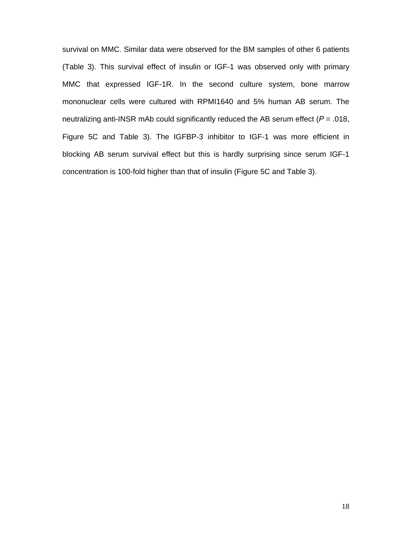survival on MMC. Similar data were observed for the BM samples of other 6 patients (Table 3). This survival effect of insulin or IGF-1 was observed only with primary MMC that expressed IGF-1R. In the second culture system, bone marrow mononuclear cells were cultured with RPMI1640 and 5% human AB serum. The neutralizing anti-INSR mAb could significantly reduced the AB serum effect ( $P = .018$ , Figure 5C and Table 3). The IGFBP-3 inhibitor to IGF-1 was more efficient in blocking AB serum survival effect but this is hardly surprising since serum IGF-1 concentration is 100-fold higher than that of insulin (Figure 5C and Table 3).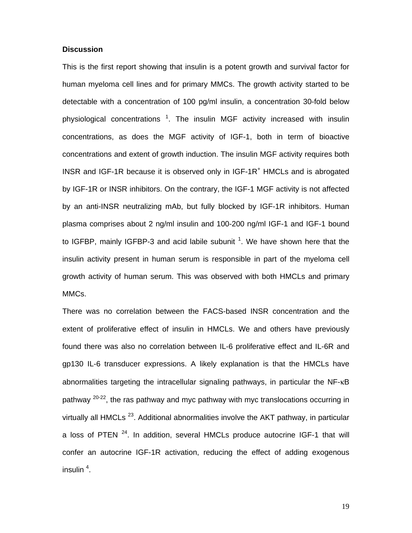#### **Discussion**

This is the first report showing that insulin is a potent growth and survival factor for human myeloma cell lines and for primary MMCs. The growth activity started to be detectable with a concentration of 100 pg/ml insulin, a concentration 30-fold below physiological concentrations  $^1$ . The insulin MGF activity increased with insulin concentrations, as does the MGF activity of IGF-1, both in term of bioactive concentrations and extent of growth induction. The insulin MGF activity requires both INSR and IGF-1R because it is observed only in IGF-1R<sup>+</sup> HMCLs and is abrogated by IGF-1R or INSR inhibitors. On the contrary, the IGF-1 MGF activity is not affected by an anti-INSR neutralizing mAb, but fully blocked by IGF-1R inhibitors. Human plasma comprises about 2 ng/ml insulin and 100-200 ng/ml IGF-1 and IGF-1 bound to IGFBP, mainly IGFBP-3 and acid labile subunit  $1$ . We have shown here that the insulin activity present in human serum is responsible in part of the myeloma cell growth activity of human serum. This was observed with both HMCLs and primary MMCs.

There was no correlation between the FACS-based INSR concentration and the extent of proliferative effect of insulin in HMCLs. We and others have previously found there was also no correlation between IL-6 proliferative effect and IL-6R and gp130 IL-6 transducer expressions. A likely explanation is that the HMCLs have abnormalities targeting the intracellular signaling pathways, in particular the NF-κB pathway  $20-22$ , the ras pathway and myc pathway with myc translocations occurring in virtually all HMCLs<sup> $23$ </sup>. Additional abnormalities involve the AKT pathway, in particular a loss of PTEN  $24$ . In addition, several HMCLs produce autocrine IGF-1 that will confer an autocrine IGF-1R activation, reducing the effect of adding exogenous insulin  $^4$ .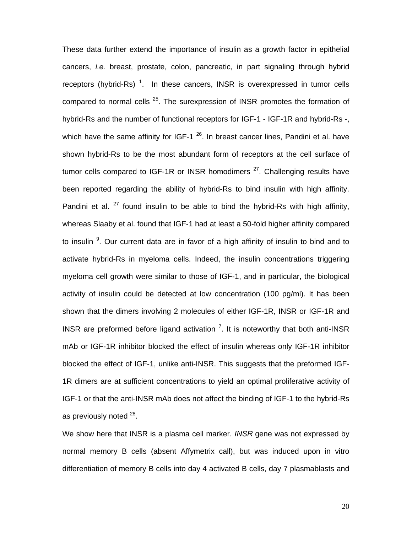These data further extend the importance of insulin as a growth factor in epithelial cancers, *i.e.* breast, prostate, colon, pancreatic, in part signaling through hybrid receptors (hybrid-Rs)<sup>1</sup>. In these cancers, INSR is overexpressed in tumor cells compared to normal cells  $^{25}$ . The surexpression of INSR promotes the formation of hybrid-Rs and the number of functional receptors for IGF-1 - IGF-1R and hybrid-Rs -, which have the same affinity for IGF-1  $^{26}$ . In breast cancer lines, Pandini et al. have shown hybrid-Rs to be the most abundant form of receptors at the cell surface of tumor cells compared to IGF-1R or INSR homodimers  $27$ . Challenging results have been reported regarding the ability of hybrid-Rs to bind insulin with high affinity. Pandini et al.  $27$  found insulin to be able to bind the hybrid-Rs with high affinity, whereas Slaaby et al. found that IGF-1 had at least a 50-fold higher affinity compared to insulin <sup>9</sup>. Our current data are in favor of a high affinity of insulin to bind and to activate hybrid-Rs in myeloma cells. Indeed, the insulin concentrations triggering myeloma cell growth were similar to those of IGF-1, and in particular, the biological activity of insulin could be detected at low concentration (100 pg/ml). It has been shown that the dimers involving 2 molecules of either IGF-1R, INSR or IGF-1R and INSR are preformed before ligand activation  $7$ . It is noteworthy that both anti-INSR mAb or IGF-1R inhibitor blocked the effect of insulin whereas only IGF-1R inhibitor blocked the effect of IGF-1, unlike anti-INSR. This suggests that the preformed IGF-1R dimers are at sufficient concentrations to yield an optimal proliferative activity of IGF-1 or that the anti-INSR mAb does not affect the binding of IGF-1 to the hybrid-Rs as previously noted <sup>28</sup>.

We show here that INSR is a plasma cell marker. *INSR* gene was not expressed by normal memory B cells (absent Affymetrix call), but was induced upon in vitro differentiation of memory B cells into day 4 activated B cells, day 7 plasmablasts and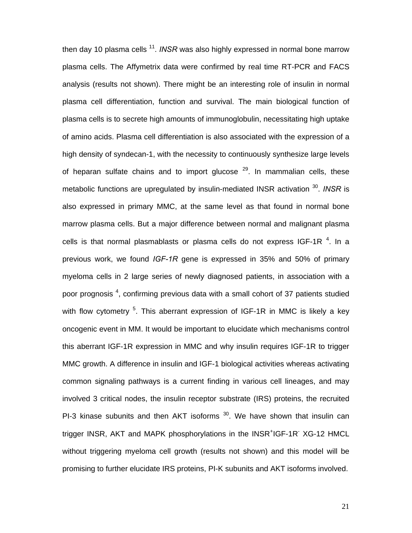then day 10 plasma cells <sup>11</sup>. *INSR* was also highly expressed in normal bone marrow plasma cells. The Affymetrix data were confirmed by real time RT-PCR and FACS analysis (results not shown). There might be an interesting role of insulin in normal plasma cell differentiation, function and survival. The main biological function of plasma cells is to secrete high amounts of immunoglobulin, necessitating high uptake of amino acids. Plasma cell differentiation is also associated with the expression of a high density of syndecan-1, with the necessity to continuously synthesize large levels of heparan sulfate chains and to import glucose  $29$ . In mammalian cells, these metabolic functions are upregulated by insulin-mediated INSR activation 30. *INSR* is also expressed in primary MMC, at the same level as that found in normal bone marrow plasma cells. But a major difference between normal and malignant plasma cells is that normal plasmablasts or plasma cells do not express IGF-1R  $^{4}$ . In a previous work, we found *IGF-1R* gene is expressed in 35% and 50% of primary myeloma cells in 2 large series of newly diagnosed patients, in association with a poor prognosis<sup>4</sup>, confirming previous data with a small cohort of 37 patients studied with flow cytometry <sup>5</sup>. This aberrant expression of IGF-1R in MMC is likely a key oncogenic event in MM. It would be important to elucidate which mechanisms control this aberrant IGF-1R expression in MMC and why insulin requires IGF-1R to trigger MMC growth. A difference in insulin and IGF-1 biological activities whereas activating common signaling pathways is a current finding in various cell lineages, and may involved 3 critical nodes, the insulin receptor substrate (IRS) proteins, the recruited PI-3 kinase subunits and then AKT isoforms  $30$ . We have shown that insulin can trigger INSR, AKT and MAPK phosphorylations in the INSR<sup>+</sup>IGF-1R<sup>-</sup> XG-12 HMCL without triggering myeloma cell growth (results not shown) and this model will be promising to further elucidate IRS proteins, PI-K subunits and AKT isoforms involved.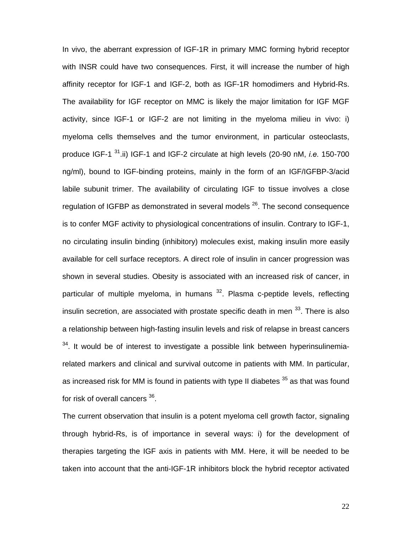In vivo, the aberrant expression of IGF-1R in primary MMC forming hybrid receptor with INSR could have two consequences. First, it will increase the number of high affinity receptor for IGF-1 and IGF-2, both as IGF-1R homodimers and Hybrid-Rs. The availability for IGF receptor on MMC is likely the major limitation for IGF MGF activity, since IGF-1 or IGF-2 are not limiting in the myeloma milieu in vivo: i) myeloma cells themselves and the tumor environment, in particular osteoclasts, produce IGF-1 31.ii) IGF-1 and IGF-2 circulate at high levels (20-90 nM, *i.e.* 150-700 ng/ml), bound to IGF-binding proteins, mainly in the form of an IGF/IGFBP-3/acid labile subunit trimer. The availability of circulating IGF to tissue involves a close regulation of IGFBP as demonstrated in several models  $^{26}$ . The second consequence is to confer MGF activity to physiological concentrations of insulin. Contrary to IGF-1, no circulating insulin binding (inhibitory) molecules exist, making insulin more easily available for cell surface receptors. A direct role of insulin in cancer progression was shown in several studies. Obesity is associated with an increased risk of cancer, in particular of multiple myeloma, in humans  $32$ . Plasma c-peptide levels, reflecting insulin secretion, are associated with prostate specific death in men <sup>33</sup>. There is also a relationship between high-fasting insulin levels and risk of relapse in breast cancers  $34$ . It would be of interest to investigate a possible link between hyperinsulinemiarelated markers and clinical and survival outcome in patients with MM. In particular, as increased risk for MM is found in patients with type II diabetes  $35$  as that was found for risk of overall cancers <sup>36</sup>.

The current observation that insulin is a potent myeloma cell growth factor, signaling through hybrid-Rs, is of importance in several ways: i) for the development of therapies targeting the IGF axis in patients with MM. Here, it will be needed to be taken into account that the anti-IGF-1R inhibitors block the hybrid receptor activated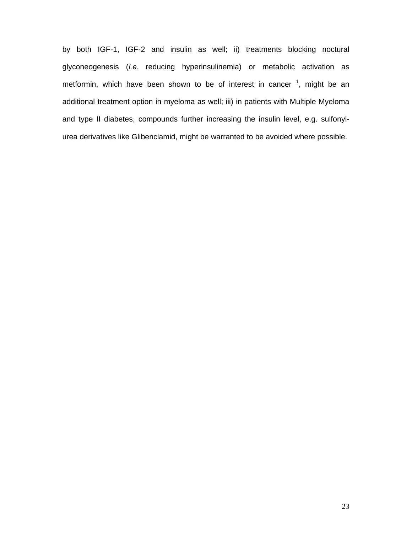by both IGF-1, IGF-2 and insulin as well; ii) treatments blocking noctural glyconeogenesis (*i.e.* reducing hyperinsulinemia) or metabolic activation as metformin, which have been shown to be of interest in cancer  $^1$ , might be an additional treatment option in myeloma as well; iii) in patients with Multiple Myeloma and type II diabetes, compounds further increasing the insulin level, e.g. sulfonylurea derivatives like Glibenclamid, might be warranted to be avoided where possible.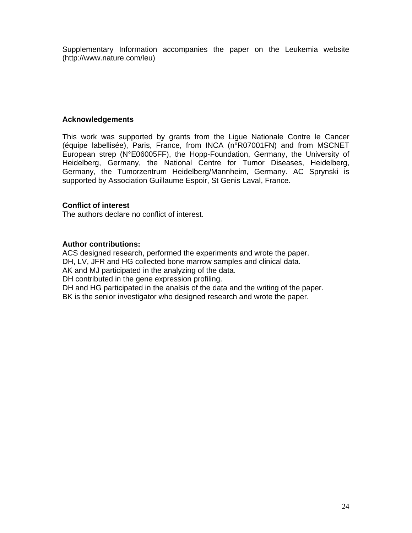Supplementary Information accompanies the paper on the Leukemia website (http://www.nature.com/leu)

### **Acknowledgements**

This work was supported by grants from the Ligue Nationale Contre le Cancer (équipe labellisée), Paris, France, from INCA (n°R07001FN) and from MSCNET European strep (N°E06005FF), the Hopp-Foundation, Germany, the University of Heidelberg, Germany, the National Centre for Tumor Diseases, Heidelberg, Germany, the Tumorzentrum Heidelberg/Mannheim, Germany. AC Sprynski is supported by Association Guillaume Espoir, St Genis Laval, France.

### **Conflict of interest**

The authors declare no conflict of interest.

### **Author contributions:**

ACS designed research, performed the experiments and wrote the paper. DH, LV, JFR and HG collected bone marrow samples and clinical data. AK and MJ participated in the analyzing of the data.

DH contributed in the gene expression profiling.

DH and HG participated in the analsis of the data and the writing of the paper. BK is the senior investigator who designed research and wrote the paper.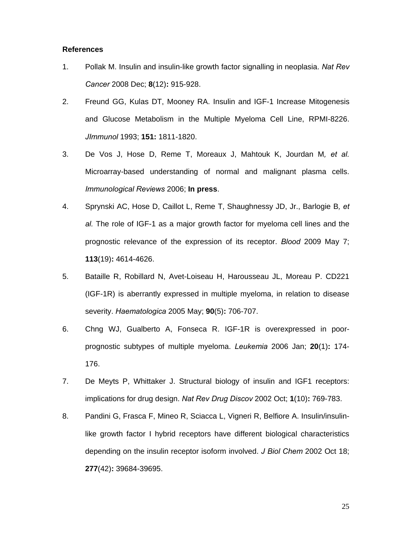#### **References**

- 1. Pollak M. Insulin and insulin-like growth factor signalling in neoplasia. *Nat Rev Cancer* 2008 Dec; **8**(12)**:** 915-928.
- 2. Freund GG, Kulas DT, Mooney RA. Insulin and IGF-1 Increase Mitogenesis and Glucose Metabolism in the Multiple Myeloma Cell Line, RPMI-8226. *JImmunol* 1993; **151:** 1811-1820.
- 3. De Vos J, Hose D, Reme T, Moreaux J, Mahtouk K, Jourdan M*, et al.* Microarray-based understanding of normal and malignant plasma cells. *Immunological Reviews* 2006; **In press**.
- 4. Sprynski AC, Hose D, Caillot L, Reme T, Shaughnessy JD, Jr., Barlogie B*, et al.* The role of IGF-1 as a major growth factor for myeloma cell lines and the prognostic relevance of the expression of its receptor. *Blood* 2009 May 7; **113**(19)**:** 4614-4626.
- 5. Bataille R, Robillard N, Avet-Loiseau H, Harousseau JL, Moreau P. CD221 (IGF-1R) is aberrantly expressed in multiple myeloma, in relation to disease severity. *Haematologica* 2005 May; **90**(5)**:** 706-707.
- 6. Chng WJ, Gualberto A, Fonseca R. IGF-1R is overexpressed in poorprognostic subtypes of multiple myeloma. *Leukemia* 2006 Jan; **20**(1)**:** 174- 176.
- 7. De Meyts P, Whittaker J. Structural biology of insulin and IGF1 receptors: implications for drug design. *Nat Rev Drug Discov* 2002 Oct; **1**(10)**:** 769-783.
- 8. Pandini G, Frasca F, Mineo R, Sciacca L, Vigneri R, Belfiore A. Insulin/insulinlike growth factor I hybrid receptors have different biological characteristics depending on the insulin receptor isoform involved. *J Biol Chem* 2002 Oct 18; **277**(42)**:** 39684-39695.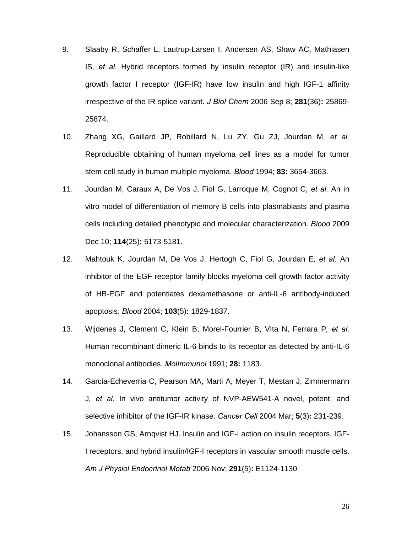- 9. Slaaby R, Schaffer L, Lautrup-Larsen I, Andersen AS, Shaw AC, Mathiasen IS*, et al.* Hybrid receptors formed by insulin receptor (IR) and insulin-like growth factor I receptor (IGF-IR) have low insulin and high IGF-1 affinity irrespective of the IR splice variant. *J Biol Chem* 2006 Sep 8; **281**(36)**:** 25869- 25874.
- 10. Zhang XG, Gaillard JP, Robillard N, Lu ZY, Gu ZJ, Jourdan M*, et al.* Reproducible obtaining of human myeloma cell lines as a model for tumor stem cell study in human multiple myeloma. *Blood* 1994; **83:** 3654-3663.
- 11. Jourdan M, Caraux A, De Vos J, Fiol G, Larroque M, Cognot C*, et al.* An in vitro model of differentiation of memory B cells into plasmablasts and plasma cells including detailed phenotypic and molecular characterization. *Blood* 2009 Dec 10; **114**(25)**:** 5173-5181.
- 12. Mahtouk K, Jourdan M, De Vos J, Hertogh C, Fiol G, Jourdan E*, et al.* An inhibitor of the EGF receptor family blocks myeloma cell growth factor activity of HB-EGF and potentiates dexamethasone or anti-IL-6 antibody-induced apoptosis. *Blood* 2004; **103**(5)**:** 1829-1837.
- 13. Wijdenes J, Clement C, Klein B, Morel-Fourrier B, VIta N, Ferrara P*, et al.* Human recombinant dimeric IL-6 binds to its receptor as detected by anti-IL-6 monoclonal antibodies. *MolImmunol* 1991; **28:** 1183.
- 14. Garcia-Echeverria C, Pearson MA, Marti A, Meyer T, Mestan J, Zimmermann J*, et al.* In vivo antitumor activity of NVP-AEW541-A novel, potent, and selective inhibitor of the IGF-IR kinase. *Cancer Cell* 2004 Mar; **5**(3)**:** 231-239.
- 15. Johansson GS, Arnqvist HJ. Insulin and IGF-I action on insulin receptors, IGF-I receptors, and hybrid insulin/IGF-I receptors in vascular smooth muscle cells. *Am J Physiol Endocrinol Metab* 2006 Nov; **291**(5)**:** E1124-1130.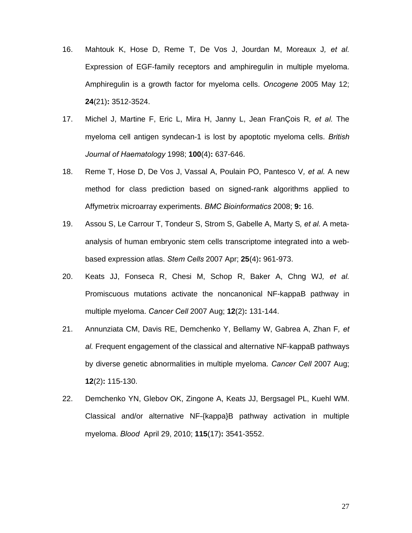- 16. Mahtouk K, Hose D, Reme T, De Vos J, Jourdan M, Moreaux J*, et al.* Expression of EGF-family receptors and amphiregulin in multiple myeloma. Amphiregulin is a growth factor for myeloma cells. *Oncogene* 2005 May 12; **24**(21)**:** 3512-3524.
- 17. Michel J, Martine F, Eric L, Mira H, Janny L, Jean FranÇois R*, et al.* The myeloma cell antigen syndecan-1 is lost by apoptotic myeloma cells. *British Journal of Haematology* 1998; **100**(4)**:** 637-646.
- 18. Reme T, Hose D, De Vos J, Vassal A, Poulain PO, Pantesco V*, et al.* A new method for class prediction based on signed-rank algorithms applied to Affymetrix microarray experiments. *BMC Bioinformatics* 2008; **9:** 16.
- 19. Assou S, Le Carrour T, Tondeur S, Strom S, Gabelle A, Marty S*, et al.* A metaanalysis of human embryonic stem cells transcriptome integrated into a webbased expression atlas. *Stem Cells* 2007 Apr; **25**(4)**:** 961-973.
- 20. Keats JJ, Fonseca R, Chesi M, Schop R, Baker A, Chng WJ*, et al.* Promiscuous mutations activate the noncanonical NF-kappaB pathway in multiple myeloma. *Cancer Cell* 2007 Aug; **12**(2)**:** 131-144.
- 21. Annunziata CM, Davis RE, Demchenko Y, Bellamy W, Gabrea A, Zhan F*, et al.* Frequent engagement of the classical and alternative NF-kappaB pathways by diverse genetic abnormalities in multiple myeloma. *Cancer Cell* 2007 Aug; **12**(2)**:** 115-130.
- 22. Demchenko YN, Glebov OK, Zingone A, Keats JJ, Bergsagel PL, Kuehl WM. Classical and/or alternative NF-{kappa}B pathway activation in multiple myeloma. *Blood* April 29, 2010; **115**(17)**:** 3541-3552.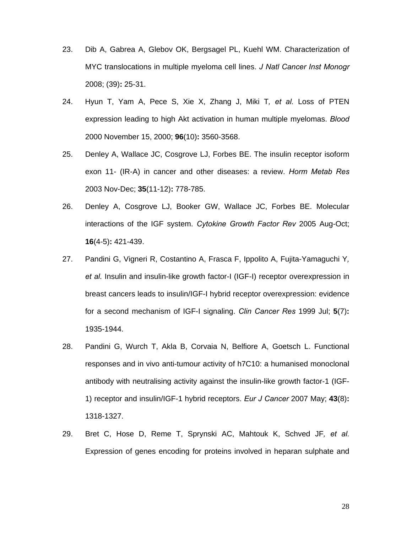- 23. Dib A, Gabrea A, Glebov OK, Bergsagel PL, Kuehl WM. Characterization of MYC translocations in multiple myeloma cell lines. *J Natl Cancer Inst Monogr* 2008; (39)**:** 25-31.
- 24. Hyun T, Yam A, Pece S, Xie X, Zhang J, Miki T*, et al.* Loss of PTEN expression leading to high Akt activation in human multiple myelomas. *Blood* 2000 November 15, 2000; **96**(10)**:** 3560-3568.
- 25. Denley A, Wallace JC, Cosgrove LJ, Forbes BE. The insulin receptor isoform exon 11- (IR-A) in cancer and other diseases: a review. *Horm Metab Res* 2003 Nov-Dec; **35**(11-12)**:** 778-785.
- 26. Denley A, Cosgrove LJ, Booker GW, Wallace JC, Forbes BE. Molecular interactions of the IGF system. *Cytokine Growth Factor Rev* 2005 Aug-Oct; **16**(4-5)**:** 421-439.
- 27. Pandini G, Vigneri R, Costantino A, Frasca F, Ippolito A, Fujita-Yamaguchi Y*, et al.* Insulin and insulin-like growth factor-I (IGF-I) receptor overexpression in breast cancers leads to insulin/IGF-I hybrid receptor overexpression: evidence for a second mechanism of IGF-I signaling. *Clin Cancer Res* 1999 Jul; **5**(7)**:** 1935-1944.
- 28. Pandini G, Wurch T, Akla B, Corvaia N, Belfiore A, Goetsch L. Functional responses and in vivo anti-tumour activity of h7C10: a humanised monoclonal antibody with neutralising activity against the insulin-like growth factor-1 (IGF-1) receptor and insulin/IGF-1 hybrid receptors. *Eur J Cancer* 2007 May; **43**(8)**:** 1318-1327.
- 29. Bret C, Hose D, Reme T, Sprynski AC, Mahtouk K, Schved JF*, et al.* Expression of genes encoding for proteins involved in heparan sulphate and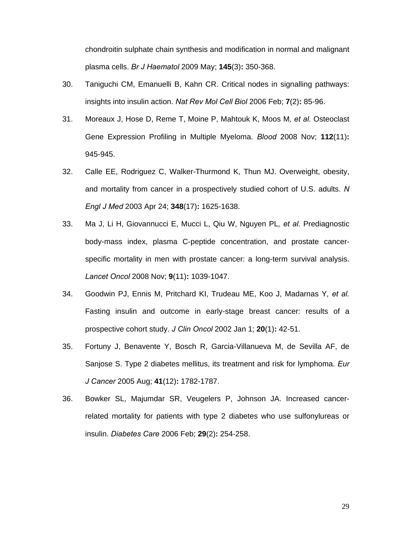chondroitin sulphate chain synthesis and modification in normal and malignant plasma cells. *Br J Haematol* 2009 May; **145**(3)**:** 350-368.

- 30. Taniguchi CM, Emanuelli B, Kahn CR. Critical nodes in signalling pathways: insights into insulin action. *Nat Rev Mol Cell Biol* 2006 Feb; **7**(2)**:** 85-96.
- 31. Moreaux J, Hose D, Reme T, Moine P, Mahtouk K, Moos M*, et al.* Osteoclast Gene Expression Profiling in Multiple Myeloma. *Blood* 2008 Nov; **112**(11)**:** 945-945.
- 32. Calle EE, Rodriguez C, Walker-Thurmond K, Thun MJ. Overweight, obesity, and mortality from cancer in a prospectively studied cohort of U.S. adults. *N Engl J Med* 2003 Apr 24; **348**(17)**:** 1625-1638.
- 33. Ma J, Li H, Giovannucci E, Mucci L, Qiu W, Nguyen PL*, et al.* Prediagnostic body-mass index, plasma C-peptide concentration, and prostate cancerspecific mortality in men with prostate cancer: a long-term survival analysis. *Lancet Oncol* 2008 Nov; **9**(11)**:** 1039-1047.
- 34. Goodwin PJ, Ennis M, Pritchard KI, Trudeau ME, Koo J, Madarnas Y*, et al.* Fasting insulin and outcome in early-stage breast cancer: results of a prospective cohort study. *J Clin Oncol* 2002 Jan 1; **20**(1)**:** 42-51.
- 35. Fortuny J, Benavente Y, Bosch R, Garcia-Villanueva M, de Sevilla AF, de Sanjose S. Type 2 diabetes mellitus, its treatment and risk for lymphoma. *Eur J Cancer* 2005 Aug; **41**(12)**:** 1782-1787.
- 36. Bowker SL, Majumdar SR, Veugelers P, Johnson JA. Increased cancerrelated mortality for patients with type 2 diabetes who use sulfonylureas or insulin. *Diabetes Care* 2006 Feb; **29**(2)**:** 254-258.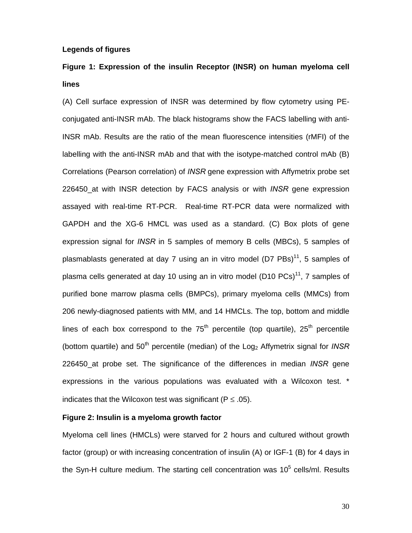#### **Legends of figures**

### **Figure 1: Expression of the insulin Receptor (INSR) on human myeloma cell lines**

(A) Cell surface expression of INSR was determined by flow cytometry using PEconjugated anti-INSR mAb. The black histograms show the FACS labelling with anti-INSR mAb. Results are the ratio of the mean fluorescence intensities (rMFI) of the labelling with the anti-INSR mAb and that with the isotype-matched control mAb (B) Correlations (Pearson correlation) of *INSR* gene expression with Affymetrix probe set 226450\_at with INSR detection by FACS analysis or with *INSR* gene expression assayed with real-time RT-PCR. Real-time RT-PCR data were normalized with GAPDH and the XG-6 HMCL was used as a standard. (C) Box plots of gene expression signal for *INSR* in 5 samples of memory B cells (MBCs), 5 samples of plasmablasts generated at day 7 using an in vitro model (D7  $\text{PBs}$ )<sup>11</sup>, 5 samples of plasma cells generated at day 10 using an in vitro model (D10 PCs)<sup>11</sup>, 7 samples of purified bone marrow plasma cells (BMPCs), primary myeloma cells (MMCs) from 206 newly-diagnosed patients with MM, and 14 HMCLs. The top, bottom and middle lines of each box correspond to the  $75<sup>th</sup>$  percentile (top quartile),  $25<sup>th</sup>$  percentile (bottom quartile) and 50<sup>th</sup> percentile (median) of the Log<sub>2</sub> Affymetrix signal for *INSR* 226450\_at probe set. The significance of the differences in median *INSR* gene expressions in the various populations was evaluated with a Wilcoxon test. \* indicates that the Wilcoxon test was significant ( $P \le 0.05$ ).

#### **Figure 2: Insulin is a myeloma growth factor**

Myeloma cell lines (HMCLs) were starved for 2 hours and cultured without growth factor (group) or with increasing concentration of insulin (A) or IGF-1 (B) for 4 days in the Syn-H culture medium. The starting cell concentration was 10<sup>5</sup> cells/ml. Results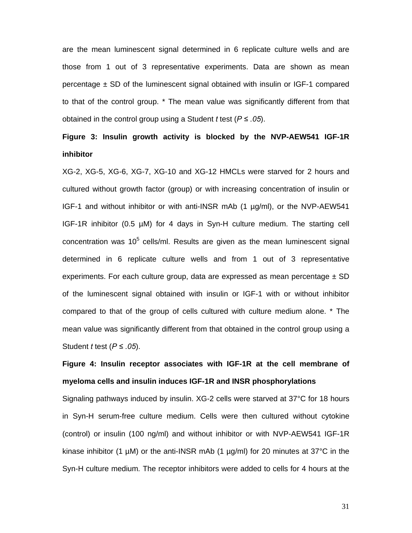are the mean luminescent signal determined in 6 replicate culture wells and are those from 1 out of 3 representative experiments. Data are shown as mean percentage  $\pm$  SD of the luminescent signal obtained with insulin or IGF-1 compared to that of the control group. \* The mean value was significantly different from that obtained in the control group using a Student *t* test (*P ≤ .05*).

## **Figure 3: Insulin growth activity is blocked by the NVP-AEW541 IGF-1R inhibitor**

XG-2, XG-5, XG-6, XG-7, XG-10 and XG-12 HMCLs were starved for 2 hours and cultured without growth factor (group) or with increasing concentration of insulin or IGF-1 and without inhibitor or with anti-INSR mAb (1 µg/ml), or the NVP-AEW541 IGF-1R inhibitor (0.5 µM) for 4 days in Syn-H culture medium. The starting cell concentration was 10 $5$  cells/ml. Results are given as the mean luminescent signal determined in 6 replicate culture wells and from 1 out of 3 representative experiments. For each culture group, data are expressed as mean percentage  $\pm$  SD of the luminescent signal obtained with insulin or IGF-1 with or without inhibitor compared to that of the group of cells cultured with culture medium alone. \* The mean value was significantly different from that obtained in the control group using a Student *t* test (*P ≤ .05*).

# **Figure 4: Insulin receptor associates with IGF-1R at the cell membrane of myeloma cells and insulin induces IGF-1R and INSR phosphorylations**

Signaling pathways induced by insulin. XG-2 cells were starved at 37°C for 18 hours in Syn-H serum-free culture medium. Cells were then cultured without cytokine (control) or insulin (100 ng/ml) and without inhibitor or with NVP-AEW541 IGF-1R kinase inhibitor (1  $\mu$ M) or the anti-INSR mAb (1  $\mu$ g/ml) for 20 minutes at 37°C in the Syn-H culture medium*.* The receptor inhibitors were added to cells for 4 hours at the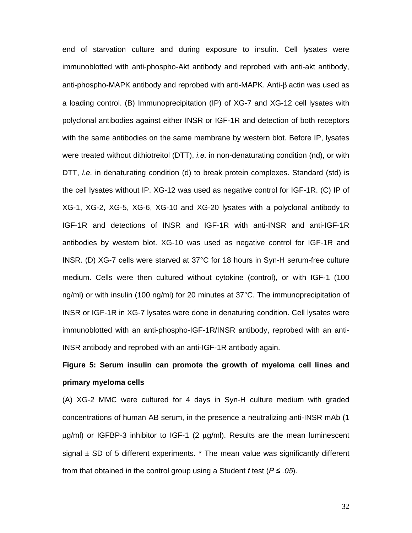end of starvation culture and during exposure to insulin. Cell lysates were immunoblotted with anti-phospho-Akt antibody and reprobed with anti-akt antibody, anti-phospho-MAPK antibody and reprobed with anti-MAPK. Anti-β actin was used as a loading control. (B) Immunoprecipitation (IP) of XG-7 and XG-12 cell lysates with polyclonal antibodies against either INSR or IGF-1R and detection of both receptors with the same antibodies on the same membrane by western blot. Before IP, lysates were treated without dithiotreitol (DTT), *i.e.* in non-denaturating condition (nd), or with DTT, *i.e.* in denaturating condition (d) to break protein complexes. Standard (std) is the cell lysates without IP. XG-12 was used as negative control for IGF-1R. (C) IP of XG-1, XG-2, XG-5, XG-6, XG-10 and XG-20 lysates with a polyclonal antibody to IGF-1R and detections of INSR and IGF-1R with anti-INSR and anti-IGF-1R antibodies by western blot. XG-10 was used as negative control for IGF-1R and INSR. (D) XG-7 cells were starved at 37°C for 18 hours in Syn-H serum-free culture medium. Cells were then cultured without cytokine (control), or with IGF-1 (100 ng/ml) or with insulin (100 ng/ml) for 20 minutes at 37°C. The immunoprecipitation of INSR or IGF-1R in XG-7 lysates were done in denaturing condition. Cell lysates were immunoblotted with an anti-phospho-IGF-1R/INSR antibody, reprobed with an anti-INSR antibody and reprobed with an anti-IGF-1R antibody again.

# **Figure 5: Serum insulin can promote the growth of myeloma cell lines and primary myeloma cells**

(A) XG-2 MMC were cultured for 4 days in Syn-H culture medium with graded concentrations of human AB serum, in the presence a neutralizing anti-INSR mAb (1 μg/ml) or IGFBP-3 inhibitor to IGF-1 (2 μg/ml). Results are the mean luminescent signal  $\pm$  SD of 5 different experiments.  $*$  The mean value was significantly different from that obtained in the control group using a Student *t* test (*P ≤ .05*).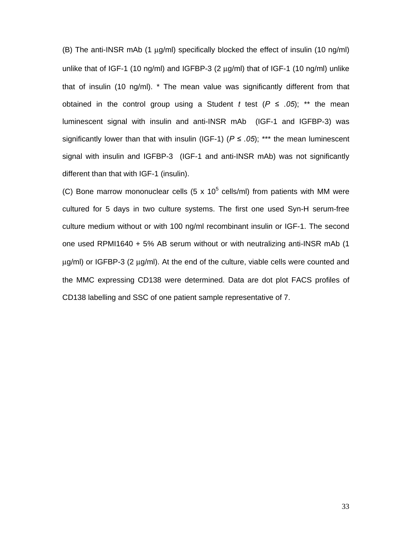(B) The anti-INSR mAb (1 μg/ml) specifically blocked the effect of insulin (10 ng/ml) unlike that of IGF-1 (10 ng/ml) and IGFBP-3 (2 μg/ml) that of IGF-1 (10 ng/ml) unlike that of insulin (10 ng/ml). \* The mean value was significantly different from that obtained in the control group using a Student *t* test ( $P \le .05$ ); \*\* the mean luminescent signal with insulin and anti-INSR mAb (IGF-1 and IGFBP-3) was significantly lower than that with insulin (IGF-1) ( $P \le .05$ ); \*\*\* the mean luminescent signal with insulin and IGFBP-3 (IGF-1 and anti-INSR mAb) was not significantly different than that with IGF-1 (insulin).

(C) Bone marrow mononuclear cells (5 x 10<sup>5</sup> cells/ml) from patients with MM were cultured for 5 days in two culture systems. The first one used Syn-H serum-free culture medium without or with 100 ng/ml recombinant insulin or IGF-1. The second one used RPMI1640 + 5% AB serum without or with neutralizing anti-INSR mAb (1 μg/ml) or IGFBP-3 (2 μg/ml). At the end of the culture, viable cells were counted and the MMC expressing CD138 were determined. Data are dot plot FACS profiles of CD138 labelling and SSC of one patient sample representative of 7.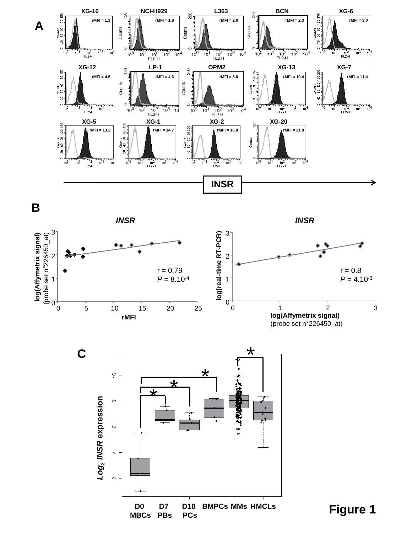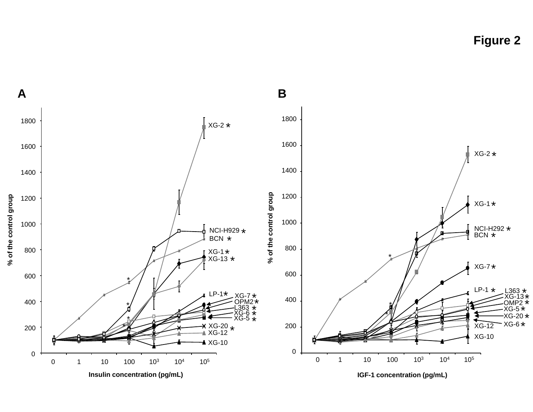**Figure 2**

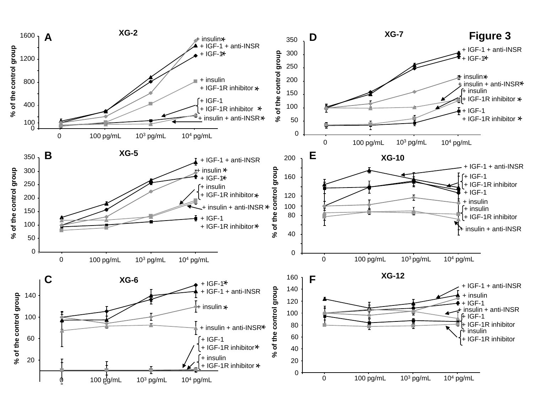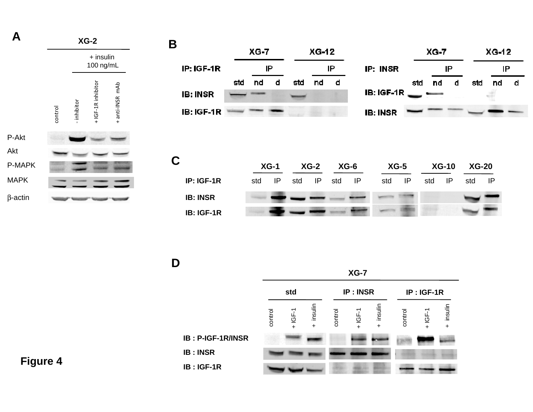| A              |         |             | $XG-2$                   |                 | $\mathbf B$                   |     |          |          |     |         |        |          |                                |        |        |              |         |                                                               |  |
|----------------|---------|-------------|--------------------------|-----------------|-------------------------------|-----|----------|----------|-----|---------|--------|----------|--------------------------------|--------|--------|--------------|---------|---------------------------------------------------------------|--|
|                |         |             | $+$ insulin<br>100 ng/mL |                 | IP: IGF-1R                    |     | $XG - 7$ | IP       |     | $XG-12$ | IP     |          | IP: INSR                       |        | $XG-7$ | IP           |         | $XG-12$<br>IP                                                 |  |
|                | control | - inhibitor | +IGF-1R inhibitor        | + anti-INSR mAb | <b>IB: INSR</b><br>IB: IGF-1R | std | nd       | d        | std | nd      | d      |          | $IB:IGF-1R$<br><b>IB: INSR</b> | std    | nd     | d            | std     | nd<br>$\frac{\partial \widetilde{H}}{\partial \widetilde{H}}$ |  |
| P-Akt<br>Akt   |         |             |                          |                 |                               |     |          |          |     |         |        |          |                                |        |        |              |         |                                                               |  |
| P-MAPK         |         |             |                          |                 | $\mathbf C$                   |     |          | $XG-1$   |     | $XG-2$  | $XG-6$ |          |                                | $XG-5$ |        | <b>XG-10</b> | $XG-20$ |                                                               |  |
| <b>MAPK</b>    |         |             |                          |                 | IP: IGF-1R                    |     | std      | $\sf IP$ | std | IP      | std    | $\sf IP$ | std                            | P      | std    | IP           | std     | P                                                             |  |
| $\beta$ -actin |         |             |                          |                 | <b>IB: INSR</b>               |     |          |          |     |         |        |          |                                |        |        |              |         |                                                               |  |
|                |         |             |                          |                 | IB: IGF-1R                    |     |          |          |     |         |        |          |                                |        |        |              |         |                                                               |  |
|                |         |             |                          |                 |                               |     |          |          |     |         |        |          |                                |        |        |              |         |                                                               |  |
|                |         |             |                          |                 | D                             |     |          |          |     |         |        |          |                                |        |        |              |         |                                                               |  |

 $\mathbf D$ 

**IB : INSR**

**IB : IGF-1R**

**XG-7 IP : INSRstd IP : IGF-1R** + insulin + insulin  $+$  insulin + insulin + IGF-1 + insulin + insulin + IGF-1 control control control + IGF-1 **G / S IB : P-IGF-1R/INSR**

 $\overline{d}$ 

**Figure 4**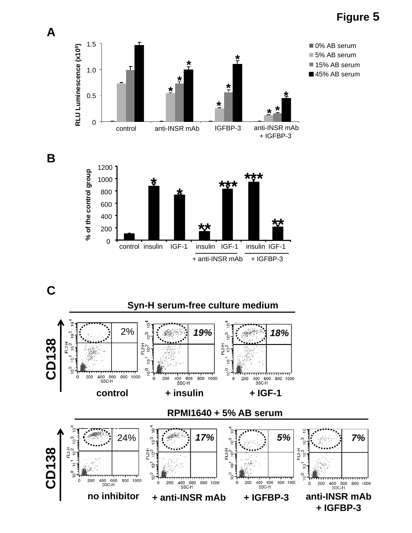# **Figure 5**





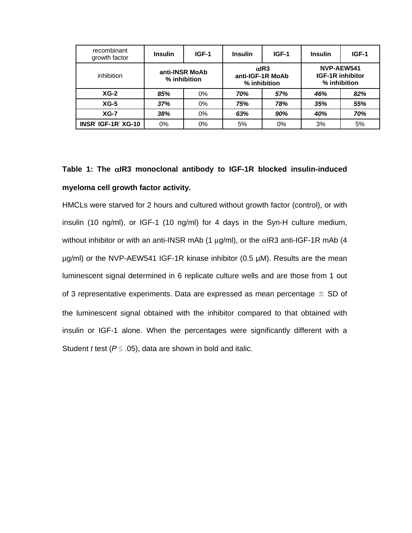| recombinant<br>growth factor | <b>Insulin</b>                 | IGF-1 | <b>Insulin</b> | IGF-1                                            | <b>Insulin</b>                                        | IGF-1 |  |
|------------------------------|--------------------------------|-------|----------------|--------------------------------------------------|-------------------------------------------------------|-------|--|
| inhibition                   | anti-INSR MoAb<br>% inhibition |       |                | $\alpha$ IR3<br>anti-IGF-1R MoAb<br>% inhibition | NVP-AEW541<br><b>IGF-1R inhibitor</b><br>% inhibition |       |  |
| $XG-2$                       | 85%                            | $0\%$ | 70%            | 57%                                              | 46%                                                   | 82%   |  |
| $XG-5$                       | 37%                            | $0\%$ | 75%            | 78%                                              | 35%                                                   | 55%   |  |
| $XG-7$                       | 38%                            | $0\%$ | 63%            | 90%                                              | 40%                                                   | 70%   |  |
| INSR IGF-1R XG-10            | 0%                             | $0\%$ | 5%             | $0\%$                                            | 3%                                                    | 5%    |  |

# **Table 1: The** α**IR3 monoclonal antibody to IGF-1R blocked insulin-induced myeloma cell growth factor activity.**

HMCLs were starved for 2 hours and cultured without growth factor (control), or with insulin (10 ng/ml), or IGF-1 (10 ng/ml) for 4 days in the Syn-H culture medium, without inhibitor or with an anti-INSR mAb (1  $\mu$ g/ml), or the  $\alpha$ IR3 anti-IGF-1R mAb (4 µg/ml) or the NVP-AEW541 IGF-1R kinase inhibitor (0.5 µM). Results are the mean luminescent signal determined in 6 replicate culture wells and are those from 1 out of 3 representative experiments. Data are expressed as mean percentage  $\pm$  SD of the luminescent signal obtained with the inhibitor compared to that obtained with insulin or IGF-1 alone. When the percentages were significantly different with a Student *t* test (*P* ≤ .05), data are shown in bold and italic.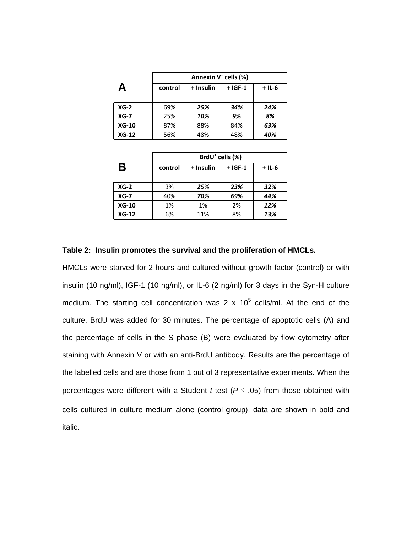|          | Annexin V <sup>+</sup> cells (%) |           |           |          |  |  |
|----------|----------------------------------|-----------|-----------|----------|--|--|
| А        | control                          | + Insulin | $+$ IGF-1 | $+$ IL-6 |  |  |
| $XG-2$   | 69%                              | 25%       | 34%       | 24%      |  |  |
| $XG - 7$ | 25%                              | 10%       | 9%        | 8%       |  |  |
| $XG-10$  | 87%                              | 88%       | 84%       | 63%      |  |  |
| $XG-12$  | 56%                              | 48%       | 48%       | 40%      |  |  |

|         | BrdU <sup>+</sup> cells (%) |           |           |          |  |  |  |
|---------|-----------------------------|-----------|-----------|----------|--|--|--|
| Β       | control                     | + Insulin | $+$ IGF-1 | $+$ IL-6 |  |  |  |
| $XG-2$  | 3%                          | 25%       | 23%       | 32%      |  |  |  |
| $XG-7$  | 40%                         | 70%       | 69%       | 44%      |  |  |  |
| $XG-10$ | 1%                          | 1%        | 2%        | 12%      |  |  |  |
| $XG-12$ | 6%                          | 11%       | 8%        | 13%      |  |  |  |

#### **Table 2: Insulin promotes the survival and the proliferation of HMCLs.**

HMCLs were starved for 2 hours and cultured without growth factor (control) or with insulin (10 ng/ml), IGF-1 (10 ng/ml), or IL-6 (2 ng/ml) for 3 days in the Syn-H culture medium. The starting cell concentration was 2 x  $10^5$  cells/ml. At the end of the culture, BrdU was added for 30 minutes. The percentage of apoptotic cells (A) and the percentage of cells in the S phase (B) were evaluated by flow cytometry after staining with Annexin V or with an anti-BrdU antibody. Results are the percentage of the labelled cells and are those from 1 out of 3 representative experiments. When the percentages were different with a Student *t* test ( $P \le .05$ ) from those obtained with cells cultured in culture medium alone (control group), data are shown in bold and italic.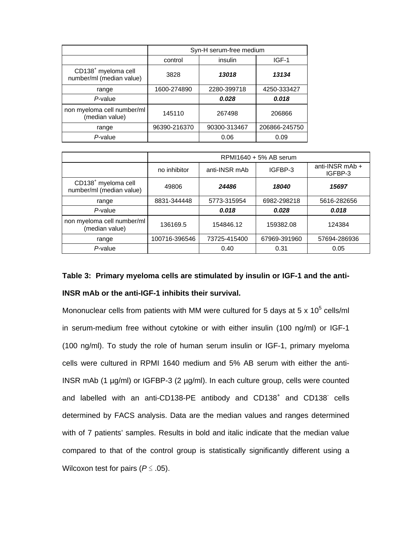|                                                             | Syn-H serum-free medium |              |               |  |  |
|-------------------------------------------------------------|-------------------------|--------------|---------------|--|--|
|                                                             | control                 | insulin      | IGF-1         |  |  |
| CD138 <sup>+</sup> myeloma cell<br>number/ml (median value) | 3828                    | 13018        | 13134         |  |  |
| range                                                       | 1600-274890             | 2280-399718  | 4250-333427   |  |  |
| P-value                                                     |                         | 0.028        | 0.018         |  |  |
| non myeloma cell number/ml<br>(median value)                | 145110                  | 267498       | 206866        |  |  |
| range                                                       | 96390-216370            | 90300-313467 | 206866-245750 |  |  |
| P-value                                                     |                         | 0.06         | 0.09          |  |  |

|                                                             | RPMI1640 + 5% AB serum |               |              |                              |  |  |
|-------------------------------------------------------------|------------------------|---------------|--------------|------------------------------|--|--|
|                                                             | no inhibitor           | anti-INSR mAb | IGFBP-3      | anti-INSR $mAb +$<br>IGFBP-3 |  |  |
| CD138 <sup>+</sup> myeloma cell<br>number/ml (median value) | 49806                  | 24486         | 18040        | 15697                        |  |  |
| range                                                       | 8831-344448            | 5773-315954   | 6982-298218  | 5616-282656                  |  |  |
| $P$ -value                                                  |                        | 0.018         | 0.028        | 0.018                        |  |  |
| non myeloma cell number/ml<br>(median value)                | 136169.5               | 154846.12     | 159382.08    | 124384                       |  |  |
| range                                                       | 100716-396546          | 73725-415400  | 67969-391960 | 57694-286936                 |  |  |
| P-value                                                     |                        | 0.40          | 0.31         | 0.05                         |  |  |

# **Table 3: Primary myeloma cells are stimulated by insulin or IGF-1 and the anti-INSR mAb or the anti-IGF-1 inhibits their survival.**

Mononuclear cells from patients with MM were cultured for 5 days at 5 x 10<sup>5</sup> cells/ml in serum-medium free without cytokine or with either insulin (100 ng/ml) or IGF-1 (100 ng/ml). To study the role of human serum insulin or IGF-1, primary myeloma cells were cultured in RPMI 1640 medium and 5% AB serum with either the anti-INSR mAb (1 µg/ml) or IGFBP-3 (2 µg/ml). In each culture group, cells were counted and labelled with an anti-CD138-PE antibody and  $CD138<sup>+</sup>$  and  $CD138<sup>-</sup>$  cells determined by FACS analysis. Data are the median values and ranges determined with of 7 patients' samples. Results in bold and italic indicate that the median value compared to that of the control group is statistically significantly different using a Wilcoxon test for pairs (*P* ≤ .05).